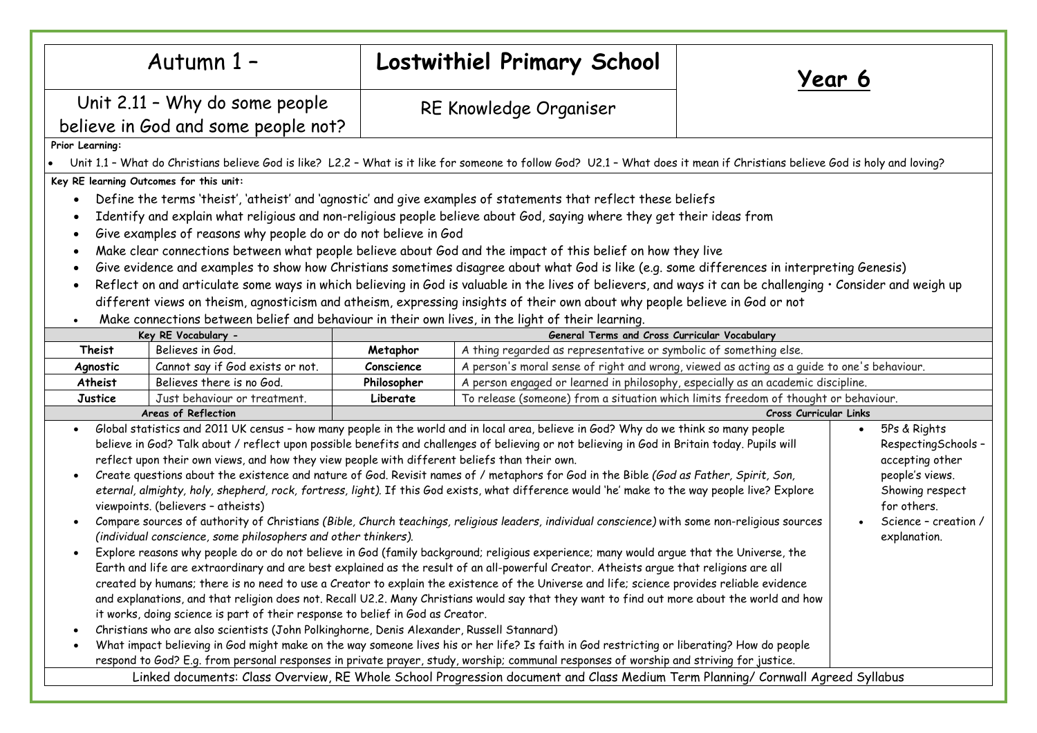| Autumn 1 -                                                                                                                                                                                                                                                                                                                                                                                                                                                                                                                                                                                                                                                                                                                                                                                                                                                                                                                                                                                                                                                                                                                                                                                                                                                                                                                                                                                                                                                                                                                                                                                                                                                                                                                                                                                                                                                                                                                                                                                                                                                                                                                                                                                                                                                                                                                                                                         |                                  | <b>Lostwithiel Primary School</b> |                                                                                            |  | Year 6 |
|------------------------------------------------------------------------------------------------------------------------------------------------------------------------------------------------------------------------------------------------------------------------------------------------------------------------------------------------------------------------------------------------------------------------------------------------------------------------------------------------------------------------------------------------------------------------------------------------------------------------------------------------------------------------------------------------------------------------------------------------------------------------------------------------------------------------------------------------------------------------------------------------------------------------------------------------------------------------------------------------------------------------------------------------------------------------------------------------------------------------------------------------------------------------------------------------------------------------------------------------------------------------------------------------------------------------------------------------------------------------------------------------------------------------------------------------------------------------------------------------------------------------------------------------------------------------------------------------------------------------------------------------------------------------------------------------------------------------------------------------------------------------------------------------------------------------------------------------------------------------------------------------------------------------------------------------------------------------------------------------------------------------------------------------------------------------------------------------------------------------------------------------------------------------------------------------------------------------------------------------------------------------------------------------------------------------------------------------------------------------------------|----------------------------------|-----------------------------------|--------------------------------------------------------------------------------------------|--|--------|
| Unit 2.11 - Why do some people                                                                                                                                                                                                                                                                                                                                                                                                                                                                                                                                                                                                                                                                                                                                                                                                                                                                                                                                                                                                                                                                                                                                                                                                                                                                                                                                                                                                                                                                                                                                                                                                                                                                                                                                                                                                                                                                                                                                                                                                                                                                                                                                                                                                                                                                                                                                                     |                                  |                                   | RE Knowledge Organiser                                                                     |  |        |
| believe in God and some people not?                                                                                                                                                                                                                                                                                                                                                                                                                                                                                                                                                                                                                                                                                                                                                                                                                                                                                                                                                                                                                                                                                                                                                                                                                                                                                                                                                                                                                                                                                                                                                                                                                                                                                                                                                                                                                                                                                                                                                                                                                                                                                                                                                                                                                                                                                                                                                |                                  |                                   |                                                                                            |  |        |
| Prior Learning:                                                                                                                                                                                                                                                                                                                                                                                                                                                                                                                                                                                                                                                                                                                                                                                                                                                                                                                                                                                                                                                                                                                                                                                                                                                                                                                                                                                                                                                                                                                                                                                                                                                                                                                                                                                                                                                                                                                                                                                                                                                                                                                                                                                                                                                                                                                                                                    |                                  |                                   |                                                                                            |  |        |
| Unit 1.1 - What do Christians believe God is like? L2.2 - What is it like for someone to follow God? U2.1 - What does it mean if Christians believe God is holy and loving?                                                                                                                                                                                                                                                                                                                                                                                                                                                                                                                                                                                                                                                                                                                                                                                                                                                                                                                                                                                                                                                                                                                                                                                                                                                                                                                                                                                                                                                                                                                                                                                                                                                                                                                                                                                                                                                                                                                                                                                                                                                                                                                                                                                                        |                                  |                                   |                                                                                            |  |        |
| Key RE learning Outcomes for this unit:                                                                                                                                                                                                                                                                                                                                                                                                                                                                                                                                                                                                                                                                                                                                                                                                                                                                                                                                                                                                                                                                                                                                                                                                                                                                                                                                                                                                                                                                                                                                                                                                                                                                                                                                                                                                                                                                                                                                                                                                                                                                                                                                                                                                                                                                                                                                            |                                  |                                   |                                                                                            |  |        |
| Define the terms 'theist', 'atheist' and 'agnostic' and give examples of statements that reflect these beliefs<br>$\bullet$<br>Identify and explain what religious and non-religious people believe about God, saying where they get their ideas from<br>Give examples of reasons why people do or do not believe in God<br>$\bullet$<br>Make clear connections between what people believe about God and the impact of this belief on how they live<br>$\bullet$<br>Give evidence and examples to show how Christians sometimes disagree about what God is like (e.g. some differences in interpreting Genesis)<br>$\bullet$<br>Reflect on and articulate some ways in which believing in God is valuable in the lives of believers, and ways it can be challenging · Consider and weigh up<br>$\bullet$<br>different views on theism, agnosticism and atheism, expressing insights of their own about why people believe in God or not                                                                                                                                                                                                                                                                                                                                                                                                                                                                                                                                                                                                                                                                                                                                                                                                                                                                                                                                                                                                                                                                                                                                                                                                                                                                                                                                                                                                                                           |                                  |                                   |                                                                                            |  |        |
| Make connections between belief and behaviour in their own lives, in the light of their learning.<br>$\bullet$                                                                                                                                                                                                                                                                                                                                                                                                                                                                                                                                                                                                                                                                                                                                                                                                                                                                                                                                                                                                                                                                                                                                                                                                                                                                                                                                                                                                                                                                                                                                                                                                                                                                                                                                                                                                                                                                                                                                                                                                                                                                                                                                                                                                                                                                     |                                  |                                   |                                                                                            |  |        |
| General Terms and Cross Curricular Vocabulary<br>Key RE Vocabulary -                                                                                                                                                                                                                                                                                                                                                                                                                                                                                                                                                                                                                                                                                                                                                                                                                                                                                                                                                                                                                                                                                                                                                                                                                                                                                                                                                                                                                                                                                                                                                                                                                                                                                                                                                                                                                                                                                                                                                                                                                                                                                                                                                                                                                                                                                                               |                                  |                                   |                                                                                            |  |        |
| Believes in God.<br>A thing regarded as representative or symbolic of something else.<br>Metaphor<br>Theist                                                                                                                                                                                                                                                                                                                                                                                                                                                                                                                                                                                                                                                                                                                                                                                                                                                                                                                                                                                                                                                                                                                                                                                                                                                                                                                                                                                                                                                                                                                                                                                                                                                                                                                                                                                                                                                                                                                                                                                                                                                                                                                                                                                                                                                                        |                                  |                                   |                                                                                            |  |        |
| Agnostic                                                                                                                                                                                                                                                                                                                                                                                                                                                                                                                                                                                                                                                                                                                                                                                                                                                                                                                                                                                                                                                                                                                                                                                                                                                                                                                                                                                                                                                                                                                                                                                                                                                                                                                                                                                                                                                                                                                                                                                                                                                                                                                                                                                                                                                                                                                                                                           | Cannot say if God exists or not. | Conscience                        | A person's moral sense of right and wrong, viewed as acting as a quide to one's behaviour. |  |        |
| Atheist                                                                                                                                                                                                                                                                                                                                                                                                                                                                                                                                                                                                                                                                                                                                                                                                                                                                                                                                                                                                                                                                                                                                                                                                                                                                                                                                                                                                                                                                                                                                                                                                                                                                                                                                                                                                                                                                                                                                                                                                                                                                                                                                                                                                                                                                                                                                                                            | Believes there is no God.        | Philosopher                       | A person engaged or learned in philosophy, especially as an academic discipline.           |  |        |
| Justice                                                                                                                                                                                                                                                                                                                                                                                                                                                                                                                                                                                                                                                                                                                                                                                                                                                                                                                                                                                                                                                                                                                                                                                                                                                                                                                                                                                                                                                                                                                                                                                                                                                                                                                                                                                                                                                                                                                                                                                                                                                                                                                                                                                                                                                                                                                                                                            | Just behaviour or treatment.     | Liberate                          | To release (someone) from a situation which limits freedom of thought or behaviour.        |  |        |
| Areas of Reflection<br>Cross Curricular Links                                                                                                                                                                                                                                                                                                                                                                                                                                                                                                                                                                                                                                                                                                                                                                                                                                                                                                                                                                                                                                                                                                                                                                                                                                                                                                                                                                                                                                                                                                                                                                                                                                                                                                                                                                                                                                                                                                                                                                                                                                                                                                                                                                                                                                                                                                                                      |                                  |                                   |                                                                                            |  |        |
| Global statistics and 2011 UK census - how many people in the world and in local area, believe in God? Why do we think so many people<br>5Ps & Rights<br>$\bullet$<br>believe in God? Talk about / reflect upon possible benefits and challenges of believing or not believing in God in Britain today. Pupils will<br>RespectingSchools -<br>reflect upon their own views, and how they view people with different beliefs than their own.<br>accepting other<br>Create questions about the existence and nature of God. Revisit names of / metaphors for God in the Bible (God as Father, Spirit, Son,<br>people's views.<br>$\bullet$<br>eternal, almighty, holy, shepherd, rock, fortress, light). If this God exists, what difference would 'he' make to the way people live? Explore<br>Showing respect<br>viewpoints. (believers - atheists)<br>for others.<br>Compare sources of authority of Christians (Bible, Church teachings, religious leaders, individual conscience) with some non-religious sources<br>Science - creation /<br>$\bullet$<br>(individual conscience, some philosophers and other thinkers).<br>explanation.<br>Explore reasons why people do or do not believe in God (family background; religious experience; many would argue that the Universe, the<br>$\bullet$<br>Earth and life are extraordinary and are best explained as the result of an all-powerful Creator. Atheists argue that religions are all<br>created by humans; there is no need to use a Creator to explain the existence of the Universe and life; science provides reliable evidence<br>and explanations, and that religion does not. Recall U2.2. Many Christians would say that they want to find out more about the world and how<br>it works, doing science is part of their response to belief in God as Creator.<br>Christians who are also scientists (John Polkinghorne, Denis Alexander, Russell Stannard)<br>$\bullet$<br>What impact believing in God might make on the way someone lives his or her life? Is faith in God restricting or liberating? How do people<br>$\bullet$<br>respond to God? E.g. from personal responses in private prayer, study, worship; communal responses of worship and striving for justice.<br>Linked documents: Class Overview, RE Whole School Progression document and Class Medium Term Planning/ Cornwall Agreed Syllabus |                                  |                                   |                                                                                            |  |        |